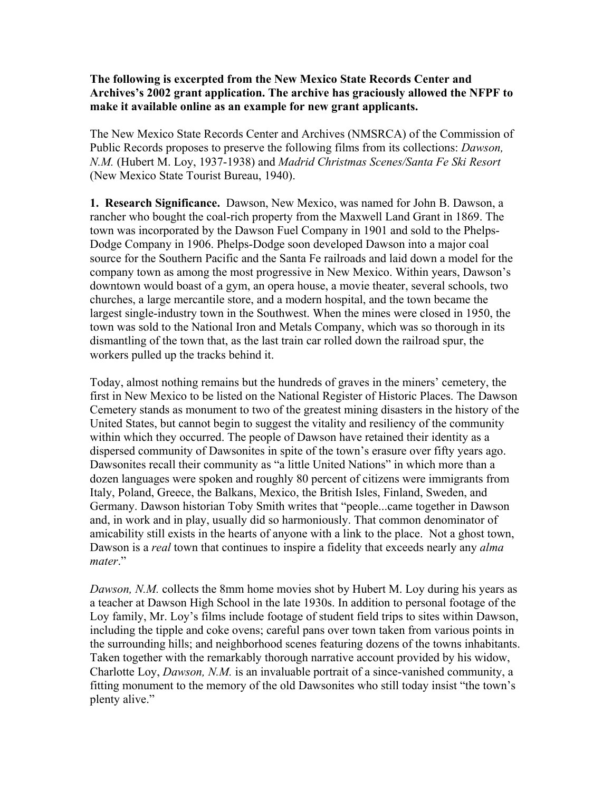## **The following is excerpted from the New Mexico State Records Center and Archives's 2002 grant application. The archive has graciously allowed the NFPF to make it available online as an example for new grant applicants.**

The New Mexico State Records Center and Archives (NMSRCA) of the Commission of Public Records proposes to preserve the following films from its collections: *Dawson, N.M.* (Hubert M. Loy, 1937-1938) and *Madrid Christmas Scenes/Santa Fe Ski Resort*  (New Mexico State Tourist Bureau, 1940).

**1. Research Significance.** Dawson, New Mexico, was named for John B. Dawson, a rancher who bought the coal-rich property from the Maxwell Land Grant in 1869. The town was incorporated by the Dawson Fuel Company in 1901 and sold to the Phelps-Dodge Company in 1906. Phelps-Dodge soon developed Dawson into a major coal source for the Southern Pacific and the Santa Fe railroads and laid down a model for the company town as among the most progressive in New Mexico. Within years, Dawson's downtown would boast of a gym, an opera house, a movie theater, several schools, two churches, a large mercantile store, and a modern hospital, and the town became the largest single-industry town in the Southwest. When the mines were closed in 1950, the town was sold to the National Iron and Metals Company, which was so thorough in its dismantling of the town that, as the last train car rolled down the railroad spur, the workers pulled up the tracks behind it.

Today, almost nothing remains but the hundreds of graves in the miners' cemetery, the first in New Mexico to be listed on the National Register of Historic Places. The Dawson Cemetery stands as monument to two of the greatest mining disasters in the history of the United States, but cannot begin to suggest the vitality and resiliency of the community within which they occurred. The people of Dawson have retained their identity as a dispersed community of Dawsonites in spite of the town's erasure over fifty years ago. Dawsonites recall their community as "a little United Nations" in which more than a dozen languages were spoken and roughly 80 percent of citizens were immigrants from Italy, Poland, Greece, the Balkans, Mexico, the British Isles, Finland, Sweden, and Germany. Dawson historian Toby Smith writes that "people...came together in Dawson and, in work and in play, usually did so harmoniously. That common denominator of amicability still exists in the hearts of anyone with a link to the place. Not a ghost town, Dawson is a *real* town that continues to inspire a fidelity that exceeds nearly any *alma mater*."

*Dawson, N.M.* collects the 8mm home movies shot by Hubert M. Loy during his years as a teacher at Dawson High School in the late 1930s. In addition to personal footage of the Loy family, Mr. Loy's films include footage of student field trips to sites within Dawson, including the tipple and coke ovens; careful pans over town taken from various points in the surrounding hills; and neighborhood scenes featuring dozens of the towns inhabitants. Taken together with the remarkably thorough narrative account provided by his widow, Charlotte Loy, *Dawson, N.M.* is an invaluable portrait of a since-vanished community, a fitting monument to the memory of the old Dawsonites who still today insist "the town's plenty alive."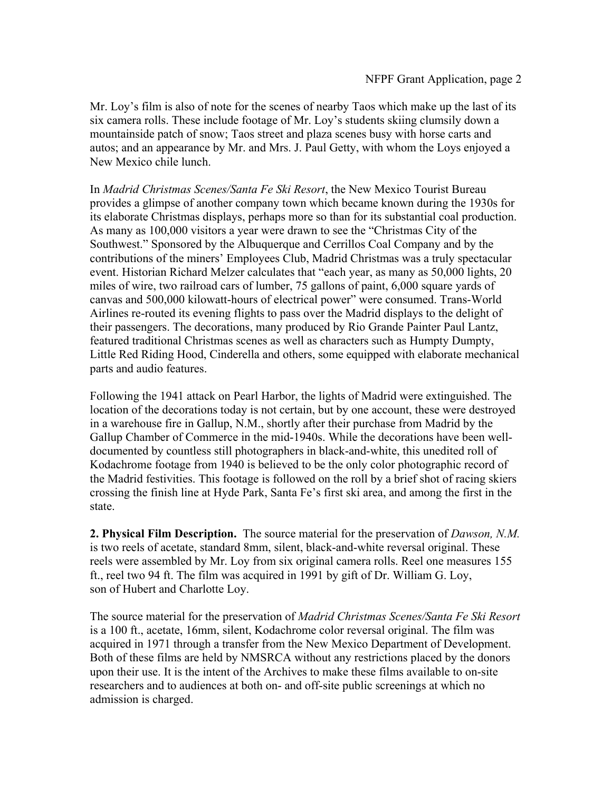Mr. Loy's film is also of note for the scenes of nearby Taos which make up the last of its six camera rolls. These include footage of Mr. Loy's students skiing clumsily down a mountainside patch of snow; Taos street and plaza scenes busy with horse carts and autos; and an appearance by Mr. and Mrs. J. Paul Getty, with whom the Loys enjoyed a New Mexico chile lunch.

In *Madrid Christmas Scenes/Santa Fe Ski Resort*, the New Mexico Tourist Bureau provides a glimpse of another company town which became known during the 1930s for its elaborate Christmas displays, perhaps more so than for its substantial coal production. As many as 100,000 visitors a year were drawn to see the "Christmas City of the Southwest." Sponsored by the Albuquerque and Cerrillos Coal Company and by the contributions of the miners' Employees Club, Madrid Christmas was a truly spectacular event. Historian Richard Melzer calculates that "each year, as many as 50,000 lights, 20 miles of wire, two railroad cars of lumber, 75 gallons of paint, 6,000 square yards of canvas and 500,000 kilowatt-hours of electrical power" were consumed. Trans-World Airlines re-routed its evening flights to pass over the Madrid displays to the delight of their passengers. The decorations, many produced by Rio Grande Painter Paul Lantz, featured traditional Christmas scenes as well as characters such as Humpty Dumpty, Little Red Riding Hood, Cinderella and others, some equipped with elaborate mechanical parts and audio features.

Following the 1941 attack on Pearl Harbor, the lights of Madrid were extinguished. The location of the decorations today is not certain, but by one account, these were destroyed in a warehouse fire in Gallup, N.M., shortly after their purchase from Madrid by the Gallup Chamber of Commerce in the mid-1940s. While the decorations have been welldocumented by countless still photographers in black-and-white, this unedited roll of Kodachrome footage from 1940 is believed to be the only color photographic record of the Madrid festivities. This footage is followed on the roll by a brief shot of racing skiers crossing the finish line at Hyde Park, Santa Fe's first ski area, and among the first in the state.

**2. Physical Film Description.** The source material for the preservation of *Dawson, N.M.*  is two reels of acetate, standard 8mm, silent, black-and-white reversal original. These reels were assembled by Mr. Loy from six original camera rolls. Reel one measures 155 ft., reel two 94 ft. The film was acquired in 1991 by gift of Dr. William G. Loy, son of Hubert and Charlotte Loy.

The source material for the preservation of *Madrid Christmas Scenes/Santa Fe Ski Resort*  is a 100 ft., acetate, 16mm, silent, Kodachrome color reversal original. The film was acquired in 1971 through a transfer from the New Mexico Department of Development. Both of these films are held by NMSRCA without any restrictions placed by the donors upon their use. It is the intent of the Archives to make these films available to on-site researchers and to audiences at both on- and off-site public screenings at which no admission is charged.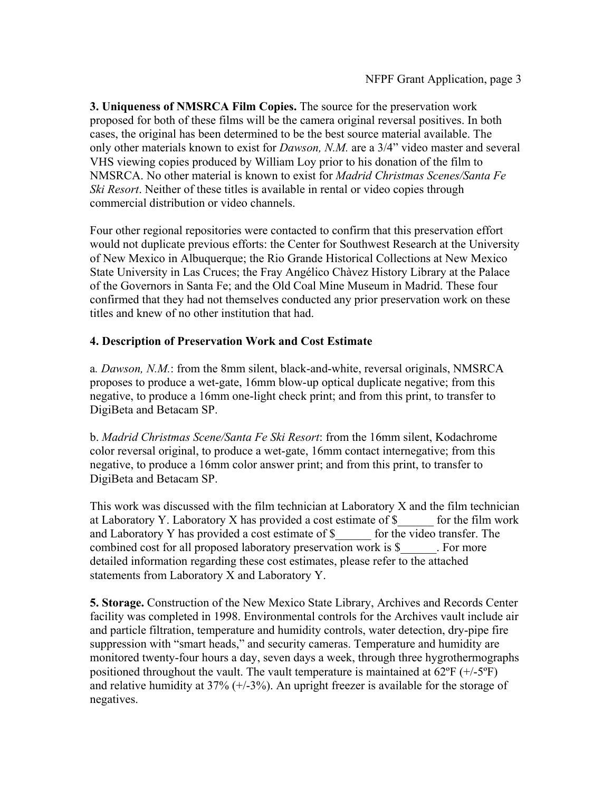**3. Uniqueness of NMSRCA Film Copies.** The source for the preservation work proposed for both of these films will be the camera original reversal positives. In both cases, the original has been determined to be the best source material available. The only other materials known to exist for *Dawson, N.M.* are a 3/4" video master and several VHS viewing copies produced by William Loy prior to his donation of the film to NMSRCA. No other material is known to exist for *Madrid Christmas Scenes/Santa Fe Ski Resort*. Neither of these titles is available in rental or video copies through commercial distribution or video channels.

Four other regional repositories were contacted to confirm that this preservation effort would not duplicate previous efforts: the Center for Southwest Research at the University of New Mexico in Albuquerque; the Rio Grande Historical Collections at New Mexico State University in Las Cruces; the Fray Angélico Chàvez History Library at the Palace of the Governors in Santa Fe; and the Old Coal Mine Museum in Madrid. These four confirmed that they had not themselves conducted any prior preservation work on these titles and knew of no other institution that had.

## **4. Description of Preservation Work and Cost Estimate**

a*. Dawson, N.M.*: from the 8mm silent, black-and-white, reversal originals, NMSRCA proposes to produce a wet-gate, 16mm blow-up optical duplicate negative; from this negative, to produce a 16mm one-light check print; and from this print, to transfer to DigiBeta and Betacam SP.

b. *Madrid Christmas Scene/Santa Fe Ski Resort*: from the 16mm silent, Kodachrome color reversal original, to produce a wet-gate, 16mm contact internegative; from this negative, to produce a 16mm color answer print; and from this print, to transfer to DigiBeta and Betacam SP.

This work was discussed with the film technician at Laboratory X and the film technician at Laboratory Y. Laboratory X has provided a cost estimate of \$\_\_\_\_\_\_ for the film work and Laboratory Y has provided a cost estimate of \$ \_\_\_\_\_ for the video transfer. The combined cost for all proposed laboratory preservation work is \$\_\_\_\_\_\_. For more detailed information regarding these cost estimates, please refer to the attached statements from Laboratory X and Laboratory Y.

**5. Storage.** Construction of the New Mexico State Library, Archives and Records Center facility was completed in 1998. Environmental controls for the Archives vault include air and particle filtration, temperature and humidity controls, water detection, dry-pipe fire suppression with "smart heads," and security cameras. Temperature and humidity are monitored twenty-four hours a day, seven days a week, through three hygrothermographs positioned throughout the vault. The vault temperature is maintained at  $62^{\circ}F (+/-5^{\circ}F)$ and relative humidity at  $37\%$  ( $+/-3\%$ ). An upright freezer is available for the storage of negatives.